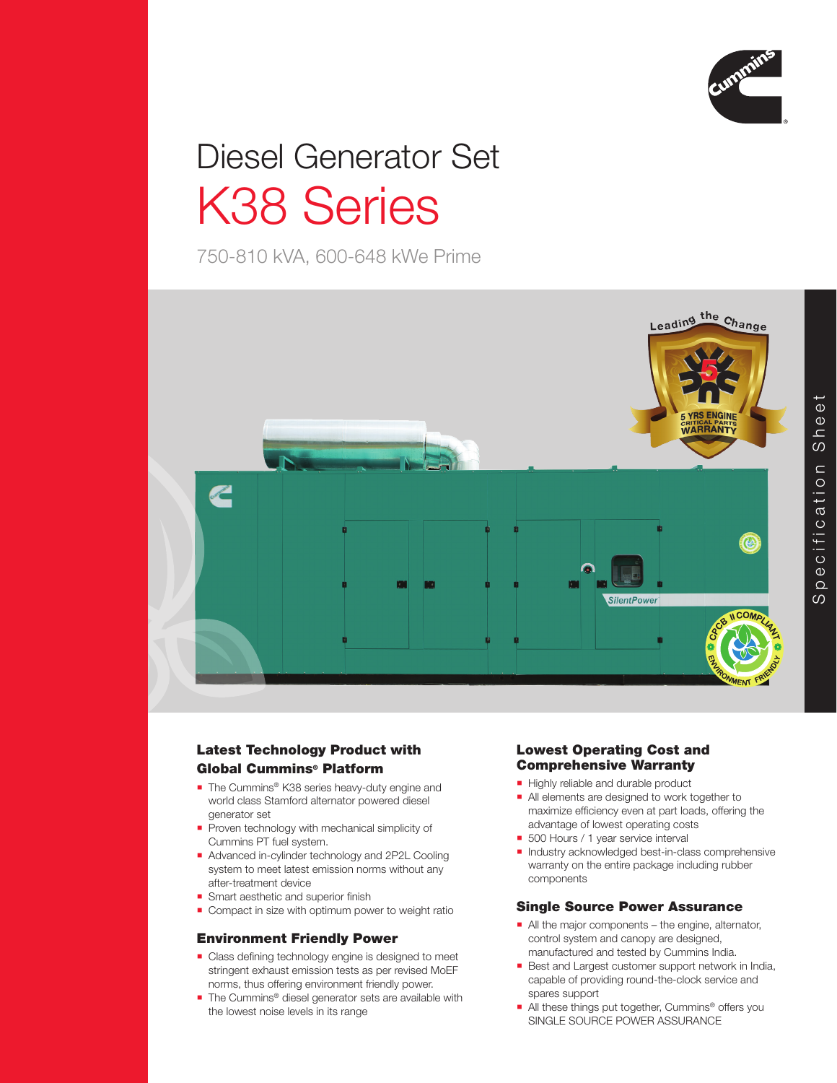

# Diesel Generator Set K38 Series

750-810 kVA, 600-648 kWe Prime



# Latest Technology Product with Global Cummins® Platform

- The Cummins® K38 series heavy-duty engine and world class Stamford alternator powered diesel generator set
- Proven technology with mechanical simplicity of Cummins PT fuel system.
- Advanced in-cylinder technology and 2P2L Cooling system to meet latest emission norms without any after-treatment device
- Smart aesthetic and superior finish
- Compact in size with optimum power to weight ratio

# Environment Friendly Power

- Class defining technology engine is designed to meet stringent exhaust emission tests as per revised MoEF norms, thus offering environment friendly power.
- The Cummins<sup>®</sup> diesel generator sets are available with the lowest noise levels in its range

# Lowest Operating Cost and Comprehensive Warranty

- Highly reliable and durable product
- All elements are designed to work together to maximize efficiency even at part loads, offering the advantage of lowest operating costs
- 500 Hours / 1 year service interval
- Industry acknowledged best-in-class comprehensive warranty on the entire package including rubber components

# Single Source Power Assurance

- All the major components the engine, alternator, control system and canopy are designed, manufactured and tested by Cummins India.
- Best and Largest customer support network in India, capable of providing round-the-clock service and spares support
- All these things put together, Cummins<sup>®</sup> offers you SINGLE SOURCE POWER ASSURANCE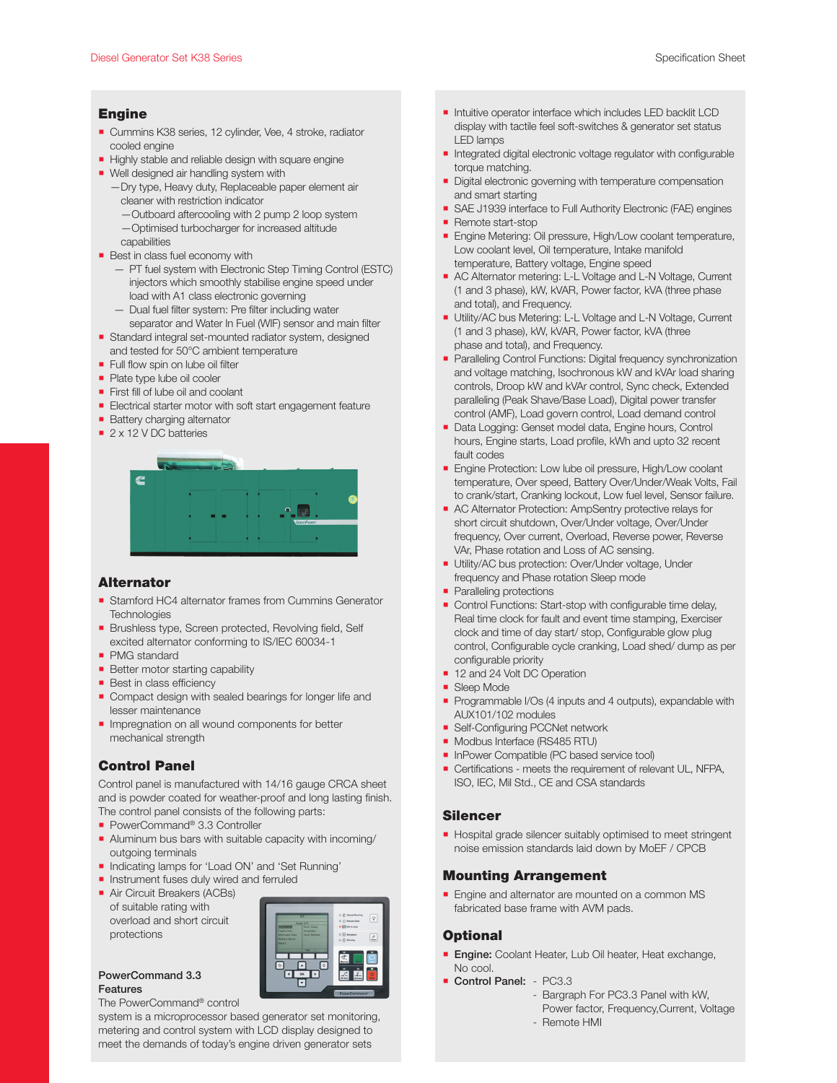#### Engine

- Cummins K38 series, 12 cylinder, Vee, 4 stroke, radiator cooled engine
- Highly stable and reliable design with square engine
- Well designed air handling system with
	- —Dry type, Heavy duty, Replaceable paper element air cleaner with restriction indicator
		- —Outboard aftercooling with 2 pump 2 loop system —Optimised turbocharger for increased altitude
	- capabilities
- **Best in class fuel economy with** 
	- PT fuel system with Electronic Step Timing Control (ESTC) injectors which smoothly stabilise engine speed under load with A1 class electronic governing
	- Dual fuel filter system: Pre filter including water separator and Water In Fuel (WIF) sensor and main filter
- Standard integral set-mounted radiator system, designed and tested for 50°C ambient temperature
- Full flow spin on lube oil filter
- **Plate type lube oil cooler**
- **First fill of lube oil and coolant**
- **Electrical starter motor with soft start engagement feature**
- **Battery charging alternator**
- 2 x 12 V DC batteries



#### Alternator

- Stamford HC4 alternator frames from Cummins Generator **Technologies**
- Brushless type, Screen protected, Revolving field, Self excited alternator conforming to IS/IEC 60034-1
- **PMG** standard
- **Better motor starting capability**
- **Best in class efficiency**
- Compact design with sealed bearings for longer life and lesser maintenance
- **Impregnation on all wound components for better** mechanical strength

# Control Panel

Control panel is manufactured with 14/16 gauge CRCA sheet and is powder coated for weather-proof and long lasting finish. The control panel consists of the following parts:

- PowerCommand<sup>®</sup> 3.3 Controller
- Aluminum bus bars with suitable capacity with incoming/ outgoing terminals
- Indicating lamps for 'Load ON' and 'Set Running'
- **Instrument fuses duly wired and ferruled**
- **Air Circuit Breakers (ACBs)**
- of suitable rating with overload and short circuit protections



#### PowerCommand 3.3 Features

#### The PowerCommand® control

system is a microprocessor based generator set monitoring, metering and control system with LCD display designed to meet the demands of today's engine driven generator sets

- Intuitive operator interface which includes LED backlit LCD display with tactile feel soft-switches & generator set status LED lamps
- **Integrated digital electronic voltage regulator with configurable** torque matching.
- Digital electronic governing with temperature compensation and smart starting
- SAE J1939 interface to Full Authority Electronic (FAE) engines **Remote start-stop**
- 
- **Engine Metering: Oil pressure, High/Low coolant temperature,** Low coolant level, Oil temperature, Intake manifold temperature, Battery voltage, Engine speed
- AC Alternator metering: L-L Voltage and L-N Voltage, Current (1 and 3 phase), kW, kVAR, Power factor, kVA (three phase and total), and Frequency.
- **Utility/AC bus Metering: L-L Voltage and L-N Voltage, Current** (1 and 3 phase), kW, kVAR, Power factor, kVA (three phase and total), and Frequency.
- **Paralleling Control Functions: Digital frequency synchronization** and voltage matching, Isochronous kW and kVAr load sharing controls, Droop kW and kVAr control, Sync check, Extended paralleling (Peak Shave/Base Load), Digital power transfer control (AMF), Load govern control, Load demand control
- Data Logging: Genset model data, Engine hours, Control hours, Engine starts, Load profile, kWh and upto 32 recent fault codes
- **Engine Protection: Low lube oil pressure, High/Low coolant** temperature, Over speed, Battery Over/Under/Weak Volts, Fail to crank/start, Cranking lockout, Low fuel level, Sensor failure.
- AC Alternator Protection: AmpSentry protective relays for short circuit shutdown, Over/Under voltage, Over/Under frequency, Over current, Overload, Reverse power, Reverse VAr, Phase rotation and Loss of AC sensing.
- Utility/AC bus protection: Over/Under voltage, Under frequency and Phase rotation Sleep mode
- Paralleling protections
- Control Functions: Start-stop with configurable time delay, Real time clock for fault and event time stamping, Exerciser clock and time of day start/ stop, Configurable glow plug control, Configurable cycle cranking, Load shed/ dump as per configurable priority
- 12 and 24 Volt DC Operation
- Sleep Mode
- Programmable I/Os (4 inputs and 4 outputs), expandable with AUX101/102 modules
- **Bulf-Configuring PCCNet network**
- Modbus Interface (RS485 RTU)
- **InPower Compatible (PC based service tool)**
- **Certifications meets the requirement of relevant UL, NFPA,** ISO, IEC, Mil Std., CE and CSA standards

#### Silencer

Hospital grade silencer suitably optimised to meet stringent noise emission standards laid down by MoEF / CPCB

### Mounting Arrangement

**Engine and alternator are mounted on a common MS** fabricated base frame with AVM pads.

#### **Optional**

- **Engine:** Coolant Heater, Lub Oil heater, Heat exchange, No cool.
- Control Panel: PC3.3
	- Bargraph For PC3.3 Panel with kW,
		- Power factor, Frequency,Current, Voltage
	- Remote HMI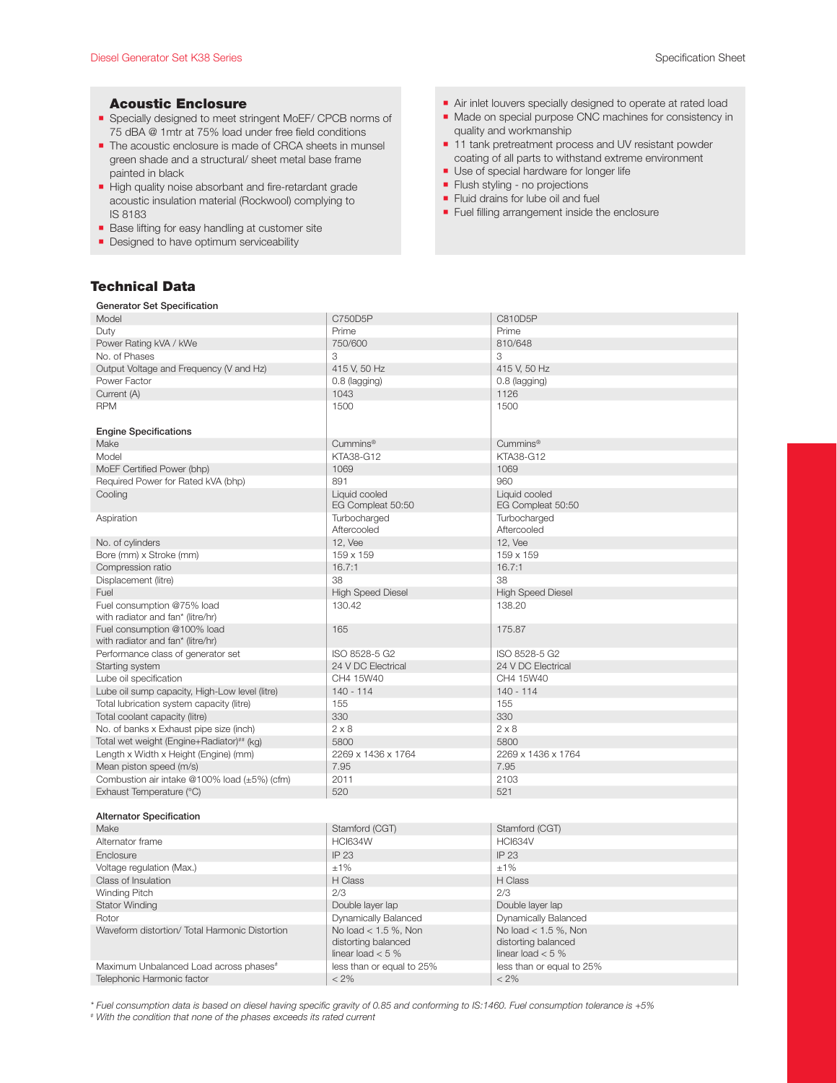#### Acoustic Enclosure

- Specially designed to meet stringent MoEF/ CPCB norms of 75 dBA @ 1mtr at 75% load under free field conditions
- The acoustic enclosure is made of CRCA sheets in munsel green shade and a structural/ sheet metal base frame painted in black
- High quality noise absorbant and fire-retardant grade acoustic insulation material (Rockwool) complying to IS 8183
- Base lifting for easy handling at customer site
- **Designed to have optimum serviceability**

# Technical Data

#### Air inlet louvers specially designed to operate at rated load

- **Made on special purpose CNC machines for consistency in** quality and workmanship
- 11 tank pretreatment process and UV resistant powder coating of all parts to withstand extreme environment
- Use of special hardware for longer life
- **Filush styling no projections**
- Fluid drains for lube oil and fuel
- **Fuel filling arrangement inside the enclosure**

| <b>Generator Set Specification</b>                 |                                              |                                    |  |  |
|----------------------------------------------------|----------------------------------------------|------------------------------------|--|--|
| Model                                              | C750D5P                                      | C810D5P                            |  |  |
| Duty                                               | Prime                                        | Prime                              |  |  |
| Power Rating kVA / kWe                             | 750/600                                      | 810/648                            |  |  |
| No. of Phases                                      | 3                                            | 3                                  |  |  |
| Output Voltage and Frequency (V and Hz)            | 415 V, 50 Hz                                 | 415 V, 50 Hz                       |  |  |
| Power Factor                                       | 0.8 (lagging)                                | 0.8 (lagging)                      |  |  |
| Current (A)                                        | 1043                                         | 1126                               |  |  |
| <b>RPM</b>                                         | 1500                                         | 1500                               |  |  |
|                                                    |                                              |                                    |  |  |
| <b>Engine Specifications</b>                       |                                              |                                    |  |  |
| Make                                               | Cummins <sup>®</sup>                         | Cummins <sup>®</sup>               |  |  |
| Model                                              | KTA38-G12                                    | KTA38-G12                          |  |  |
| MoEF Certified Power (bhp)                         | 1069                                         | 1069                               |  |  |
| Required Power for Rated kVA (bhp)                 | 891                                          | 960                                |  |  |
| Cooling                                            | Liquid cooled<br>EG Compleat 50:50           | Liquid cooled<br>EG Compleat 50:50 |  |  |
| Aspiration                                         | Turbocharged                                 | Turbocharged                       |  |  |
|                                                    | Aftercooled                                  | Aftercooled                        |  |  |
| No. of cylinders                                   | 12. Vee                                      | 12. Vee                            |  |  |
| Bore (mm) x Stroke (mm)                            | 159 x 159                                    | 159 x 159                          |  |  |
| Compression ratio                                  | 16.7:1                                       | 16.7:1                             |  |  |
| Displacement (litre)                               | 38                                           | 38                                 |  |  |
| Fuel                                               | <b>High Speed Diesel</b>                     | <b>High Speed Diesel</b>           |  |  |
| Fuel consumption @75% load                         | 130.42                                       | 138.20                             |  |  |
| with radiator and fan* (litre/hr)                  |                                              |                                    |  |  |
| Fuel consumption @100% load                        | 165                                          | 175.87                             |  |  |
| with radiator and fan* (litre/hr)                  |                                              |                                    |  |  |
| Performance class of generator set                 | ISO 8528-5 G2                                | ISO 8528-5 G2                      |  |  |
| Starting system                                    | 24 V DC Electrical                           | 24 V DC Electrical                 |  |  |
| Lube oil specification                             | CH4 15W40                                    | CH4 15W40                          |  |  |
| Lube oil sump capacity, High-Low level (litre)     | $140 - 114$                                  | $140 - 114$                        |  |  |
| Total lubrication system capacity (litre)          | 155                                          | 155                                |  |  |
| Total coolant capacity (litre)                     | 330                                          | 330                                |  |  |
| No. of banks x Exhaust pipe size (inch)            | $2 \times 8$                                 | $2 \times 8$                       |  |  |
| Total wet weight (Engine+Radiator)## (kg)          | 5800                                         | 5800                               |  |  |
| Length x Width x Height (Engine) (mm)              | 2269 x 1436 x 1764                           | 2269 x 1436 x 1764                 |  |  |
| Mean piston speed (m/s)                            | 7.95                                         | 7.95                               |  |  |
| Combustion air intake @100% load (±5%) (cfm)       | 2011                                         | 2103                               |  |  |
| Exhaust Temperature (°C)                           | 520                                          | 521                                |  |  |
|                                                    |                                              |                                    |  |  |
| <b>Alternator Specification</b>                    |                                              |                                    |  |  |
| Make                                               | Stamford (CGT)                               | Stamford (CGT)                     |  |  |
| Alternator frame                                   | <b>HCI634W</b>                               | <b>HCI634V</b>                     |  |  |
| Enclosure                                          | IP 23                                        | IP 23                              |  |  |
| Voltage regulation (Max.)                          | ±1%                                          | ±1%                                |  |  |
| Class of Insulation                                | H Class                                      | H Class                            |  |  |
| <b>Winding Pitch</b>                               | 2/3                                          | 2/3                                |  |  |
| <b>Stator Winding</b>                              | Double layer lap                             | Double layer lap                   |  |  |
| Rotor                                              | Dynamically Balanced<br>Dynamically Balanced |                                    |  |  |
| Waveform distortion/ Total Harmonic Distortion     | No load $< 1.5$ %, Non                       | No load $< 1.5$ %, Non             |  |  |
|                                                    | distorting balanced                          | distorting balanced                |  |  |
|                                                    | linear load $< 5 \%$                         | linear load $< 5 \%$               |  |  |
| Maximum Unbalanced Load across phases <sup>#</sup> | less than or equal to 25%                    | less than or equal to 25%          |  |  |
| Telephonic Harmonic factor                         | $< 2\%$                                      | $< 2\%$                            |  |  |

*\* Fuel consumption data is based on diesel having specific gravity of 0.85 and conforming to IS:1460. Fuel consumption tolerance is +5%* 

*# With the condition that none of the phases exceeds its rated current*